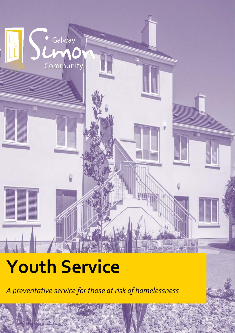# *A preventative service for those at risk of homelessness* Galway Community

## **Youth Service**

*A preventative service for those at risk of homelessness*

Page | 1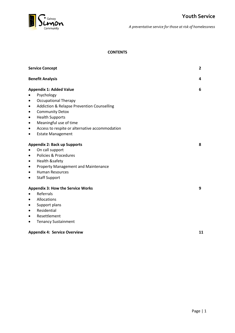

#### **CONTENTS**

| <b>Service Concept</b>                                             | $\mathbf{2}$ |
|--------------------------------------------------------------------|--------------|
| <b>Benefit Analysis</b>                                            | 4            |
| <b>Appendix 1: Added Value</b>                                     | 6            |
| Psychology                                                         |              |
| <b>Occupational Therapy</b><br>٠                                   |              |
| <b>Addiction &amp; Relapse Prevention Counselling</b><br>$\bullet$ |              |
| <b>Community Detox</b><br>$\bullet$                                |              |
| <b>Health Supports</b><br>٠                                        |              |
| Meaningful use of time<br>$\bullet$                                |              |
| Access to respite or alternative accommodation<br>$\bullet$        |              |
| <b>Estate Management</b>                                           |              |
| <b>Appendix 2: Back up Supports</b>                                | 8            |
| On call support                                                    |              |
| Policies & Procedures<br>$\bullet$                                 |              |
| <b>Health &amp;safety</b><br>$\bullet$                             |              |
| Property Management and Maintenance<br>$\bullet$                   |              |
| <b>Human Resources</b><br>$\bullet$                                |              |
| <b>Staff Support</b><br>$\bullet$                                  |              |
| <b>Appendix 3: How the Service Works</b>                           | 9            |
| Referrals                                                          |              |
| Allocations<br>$\bullet$                                           |              |
| Support plans<br>٠                                                 |              |
| Residential<br>$\bullet$                                           |              |
| Resettlement<br>$\bullet$                                          |              |
| <b>Tenancy Sustainment</b><br>$\bullet$                            |              |
| <b>Appendix 4: Service Overview</b>                                | 11           |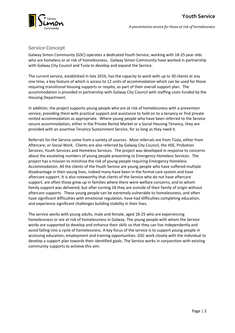

#### **Service Concept**

Galway Simon Community (GSC) operates a dedicated Youth Service, working with 18-25 year olds who are homeless or at risk of homelessness. Galway Simon Community have worked in partnership with Galway City Council and Tusla to develop and expand the Service.

The current service, established in late 2016, has the capacity to work with up to 30 clients at any one time, a key feature of which is access to 12 units of accommodation which can be used for those requiring transitional housing supports or respite, as part of their overall support plan. The accommodation is provided in partnership with Galway City Council with staffing costs funded by the Housing Department.

In addition, the project supports young people who are at risk of homelessness with a prevention service, providing them with practical support and assistance to hold on to a tenancy or find private rented accommodation as appropriate. Where young people who have been referred to the Service secure accommodation, either in the Private Rental Market or a Social Housing Tenancy, they are provided with an assertive Tenancy Sustainment Service, for as long as they need it.

Referrals for the Service come from a variety of sources. Most referrals are from Túsla, either from Aftercare, or Social Work. Clients are also referred by Galway City Council, the HSE, Probation Services, Youth Services and Homeless Services. The project was developed in response to concerns about the escalating numbers of young people presenting to Emergency Homeless Services. The project has a mission to minimise the risk of young people requiring Emergency Homeless Accommodation. All the clients of the Youth Service are young people who have suffered multiple disadvantage in their young lives, indeed many have been in the formal care system and have aftercare support. It is also noteworthy that clients of the Service who do not have aftercare support, are often those grew up in families where there were welfare concerns, and to whom family support was delivered, but after turning 18 they are outside of their family of origin without aftercare supports. These young people can be extremely vulnerable to homelessness, and often have significant difficulties with emotional regulation, have had difficulties completing education, and experience significant challenges building stability in their lives.

The service works with young adults, male and female, aged 18-25 who are experiencing homelessness or are at risk of homelessness in Galway. The young people with whom the Service works are supported to develop and enhance their skills so that they can live independently and avoid falling into a cycle of homelessness. A key focus of the service is to support young people in accessing education, employment and training opportunities. GSC work closely with the individual to develop a support plan towards their identified goals. The Service works in conjunction with existing community supports to achieve this aim.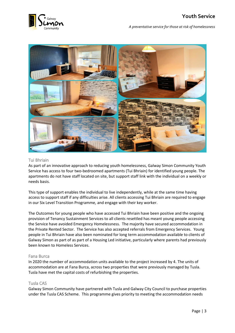



#### Tui Bhriain

As part of an innovative approach to reducing youth homelessness, Galway Simon Community Youth Service has access to four two-bedroomed apartments (Tui Bhriain) for identified young people. The apartments do not have staff located on site, but support staff link with the individual on a weekly or needs basis.

This type of support enables the individual to live independently, while at the same time having access to support staff if any difficulties arise. All clients accessing Tui Bhriain are required to engage in our Six Level Transition Programme, and engage with their key worker.

The Outcomes for young people who have accessed Tui Bhriain have been positive and the ongoing provision of Tenancy Sustainment Services to all clients resettled has meant young people accessing the Service have avoided Emergency Homelessness. The majority have secured accommodation in the Private Rented Sector. The Service has also accepted referrals from Emergency Services. Young people in Tui Bhriain have also been nominated for long term accommodation available to clients of Galway Simon as part of as part of a Housing Led initiative, particularly where parents had previously been known to Homeless Services.

#### Fana Burca

In 2020 the number of accommodation units available to the project increased by 4. The units of accommodation are at Fana Burca, across two properties that were previously managed by Tusla. Tusla have met the capital costs of refurbishing the properties.

#### Tusla CAS

Galway Simon Community have partnered with Tusla and Galway City Council to purchase properties under the Tusla CAS Scheme. This programme gives priority to meeting the accommodation needs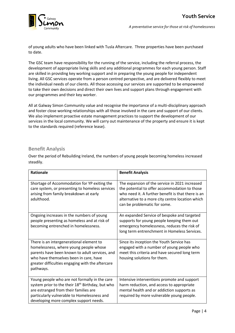

of young adults who have been linked with Tusla Aftercare. Three properties have been purchased to date.

The GSC team have responsibility for the running of the service, including the referral process, the development of appropriate living skills and any additional programmes for each young person. Staff are skilled in providing key working support and in preparing the young people for independent living. All GSC services operate from a person centred perspective, and are delivered flexibly to meet the individual needs of our clients. All those accessing our services are supported to be empowered to take their own decisions and direct their own lives and support plans through engagement with our programmes and their key worker.

All at Galway Simon Community value and recognise the importance of a multi-disciplinary approach and foster close working relationships with all those involved in the care and support of our clients. We also implement proactive estate management practices to support the development of our services in the local community. We will carry out maintenance of the property and ensure it is kept to the standards required (reference lease).

#### **Benefit Analysis**

Over the period of Rebuilding Ireland, the numbers of young people becoming homeless increased steadily.

| <b>Rationale</b>                                                                                                                                                                                                                                | <b>Benefit Analysis</b>                                                                                                                                                                                                                   |
|-------------------------------------------------------------------------------------------------------------------------------------------------------------------------------------------------------------------------------------------------|-------------------------------------------------------------------------------------------------------------------------------------------------------------------------------------------------------------------------------------------|
| Shortage of Accommodation for YP exiting the<br>care system, or presenting to homeless services<br>arising from family breakdown at early<br>adulthood.                                                                                         | The expansion of the service in 2021 increased<br>the potential to offer accommodation to those<br>who need it. A further benefit is that there is an<br>alternative to a more city centre location which<br>can be problematic for some. |
| Ongoing increases in the numbers of young<br>people presenting as homeless and at risk of<br>becoming entrenched in homelessness.                                                                                                               | An expanded Service of bespoke and targeted<br>supports for young people keeping them out<br>emergency homelessness, reduces the risk of<br>long term entrenchment in Homeless Services.                                                  |
| There is an intergenerational element to<br>homelessness, where young people whose<br>parents have been known to adult services, and<br>who have themselves been in care, have<br>greater difficulties engaging with the aftercare<br>pathways. | Since its inception the Youth Service has<br>engaged with a number of young people who<br>meet this criteria and have secured long term<br>housing solutions for them.                                                                    |
| Young people who are not formally in the care<br>system prior to the their 18 <sup>th</sup> Birthday, but who<br>are estranged from their families are<br>particularly vulnerable to Homelessness and<br>developing more complex support needs. | Intensive interventions promote and support<br>harm reduction, and access to appropriate<br>mental health and or addiction supports as<br>required by more vulnerable young people.                                                       |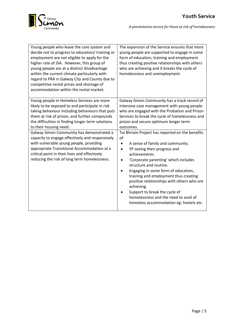

| Young people who leave the care system and<br>decide not to progress to education/ training or<br>employment are not eligible to apply for the<br>higher rate of JSA. However, this group of<br>young people are at a distinct disadvantage<br>within the current climate particularly with<br>regard to PRA in Galway City and County due to<br>competitive rental prices and shortage of<br>accommodation within the rental market. | The expansion of the Service ensures that more<br>young people are supported to engage in some<br>form of education, training and employment<br>thus creating positive relationships with others<br>who are achieving and it breaks the cycle of<br>homelessness and unemployment.                                                                                                                                                                                                                |
|---------------------------------------------------------------------------------------------------------------------------------------------------------------------------------------------------------------------------------------------------------------------------------------------------------------------------------------------------------------------------------------------------------------------------------------|---------------------------------------------------------------------------------------------------------------------------------------------------------------------------------------------------------------------------------------------------------------------------------------------------------------------------------------------------------------------------------------------------------------------------------------------------------------------------------------------------|
| Young people in Homeless Services are more<br>likely to be exposed to and participate in risk<br>taking behaviour including behaviours that puts<br>them at risk of prison, and further compounds<br>the difficulties in finding longer term solutions<br>to their housing need.                                                                                                                                                      | Galway Simon Community has a track record of<br>intensive case management with young people<br>who are engaged with the Probation and Prison<br>Services to break the cycle of homelessness and<br>prison and secure optimum longer term<br>outcomes.                                                                                                                                                                                                                                             |
| Galway Simon Community has demonstrated a<br>capacity to engage effectively and responsively<br>with vulnerable young people, providing<br>appropriate Transitional Accommodation at a<br>critical point in their lives and effectively<br>reducing the risk of long term homelessness.                                                                                                                                               | Tui Bhriain Project has reported on the benefits<br>of:<br>A sense of family and community.<br>٠<br>YP seeing their progress and<br>$\bullet$<br>achievements.<br>'Corporate parenting' which includes<br>structure and routine.<br>Engaging in some form of education,<br>training and employment thus creating<br>positive relationships with others who are<br>achieving.<br>Support to break the cycle of<br>homelessness and the need to avail of<br>homeless accommodation eg: hostels etc. |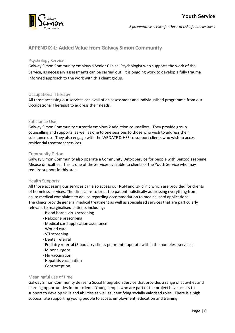#### **APPENDIX 1: Added Value from Galway Simon Community**

#### Psychology Service

Galway Simon Community employs a Senior Clinical Psychologist who supports the work of the Service, as necessary assessments can be carried out. It is ongoing work to develop a fully trauma informed approach to the work with this client group.

#### Occupational Therapy

All those accessing our services can avail of an assessment and individualised programme from our Occupational Therapist to address their needs.

#### Substance Use

Galway Simon Community currently employs 2 addiction counsellors. They provide group counselling and supports, as well as one to one sessions to those who wish to address their substance use. They also engage with the WRDATF & HSE to support clients who wish to access residential treatment services.

#### Community Detox

Galway Simon Community also operate a Community Detox Service for people with Benzodiazepiene Misuse difficulties. This is one of the Services available to clients of the Youth Service who may require support in this area.

#### Health Supports

All those accessing our services can also access our RGN and GP clinic which are provided for clients of homeless services. The clinic aims to treat the patient holistically addressing everything from acute medical complaints to advice regarding accommodation to medical card applications. The clinics provide general medical treatment as well as specialised services that are particularly relevant to marginalised patients including:

- Blood borne virus screening
- Naloxone prescribing
- Medical card application assistance
- Wound care
- STI screening
- Dental referral
- Podiatry referral (3 podiatry clinics per month operate within the homeless services)
- Minor surgery
- Flu vaccination
- Hepatitis vaccination
- Contraception

#### Meaningful use of time

Galway Simon Community deliver a Social Integration Service that provides a range of activities and learning opportunities for our clients. Young people who are part of the project have access to support to develop skills and abilities as well as identifying socially valorised roles. There is a high success rate supporting young people to access employment, education and training.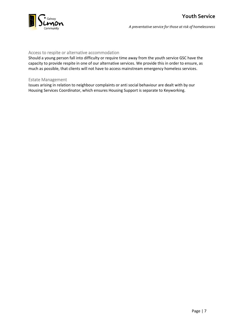

#### Access to respite or alternative accommodation

Should a young person fall into difficulty or require time away from the youth service GSC have the capacity to provide respite in one of our alternative services. We provide this in order to ensure, as much as possible, that clients will not have to access mainstream emergency homeless services.

#### Estate Management

Issues arising in relation to neighbour complaints or anti social behaviour are dealt with by our Housing Services Coordinator, which ensures Housing Support is separate to Keyworking.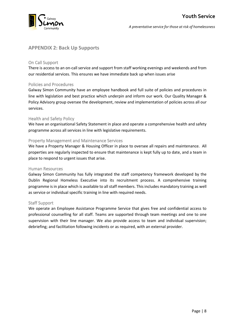

#### **APPENDIX 2: Back Up Supports**

#### On Call Support

There is access to an on-call service and support from staff working evenings and weekends and from our residential services. This ensures we have immediate back up when issues arise

#### Policies and Procedures

Galway Simon Community have an employee handbook and full suite of policies and procedures in line with legislation and best practice which underpin and inform our work. Our Quality Manager & Policy Advisory group oversee the development, review and implementation of policies across all our services.

#### Health and Safety Policy

We have an organisational Safety Statement in place and operate a comprehensive health and safety programme across all services in line with legislative requirements.

#### Property Management and Maintenance Services

We have a Property Manager & Housing Officer in place to oversee all repairs and maintenance. All properties are regularly inspected to ensure that maintenance is kept fully up to date, and a team in place to respond to urgent issues that arise.

#### Human Resources

Galway Simon Community has fully integrated the staff competency framework developed by the Dublin Regional Homeless Executive into its recruitment process. A comprehensive training programme is in place which is available to all staff members. This includes mandatory training as well as service or individual specific training in line with required needs.

#### Staff Support

We operate an Employee Assistance Programme Service that gives free and confidential access to professional counselling for all staff. Teams are supported through team meetings and one to one supervision with their line manager. We also provide access to team and individual supervision; debriefing; and facilitation following incidents or as required, with an external provider.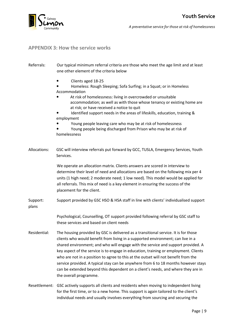

#### **APPENDIX 3: How the service works**

- Referrals: Our typical minimum referral criteria are those who meet the age limit and at least one other element of the criteria below
	- Clients aged 18-25
	- Homeless: Rough Sleeping; Sofa Surfing; in a Squat; or in Homeless Accommodation
	- At risk of homelessness: living in overcrowded or unsuitable accommodation; as well as with those whose tenancy or existing home are at risk; or have received a notice to quit
	- Identified support needs in the areas of lifeskills, education, training & employment
	- Young people leaving care who may be at risk of homelessness
	- Young people being discharged from Prison who may be at risk of homelessness
- Allocations: GSC will interview referrals put forward by GCC, TUSLA, Emergency Services, Youth Services.

We operate an allocation matrix. Clients answers are scored in interview to determine their level of need and allocations are based on the following mix per 4 units (1 high need; 2 moderate need; 1 low need). This model would be applied for all referrals. This mix of need is a key element in ensuring the success of the placement for the client.

Support: Support provided by GSC HSO & HSA staff in line with clients' individualised support plans

> Psychological, Counselling, OT support provided following referral by GSC staff to these services and based on client needs

- Residential: The housing provided by GSC is delivered as a transitional service. It is for those clients who would benefit from living in a supported environment; can live in a shared environment; and who will engage with the service and support provided. A key aspect of the service is to engage in education, training or employment. Clients who are not in a position to agree to this at the outset will not benefit from the service provided. A typical stay can be anywhere from 6 to 18 months however stays can be extended beyond this dependent on a client's needs, and where they are in the overall programme.
- Resettlement: GSC actively supports all clients and residents when moving to independent living for the first time, or to a new home. This support is again tailored to the client's individual needs and usually involves everything from sourcing and securing the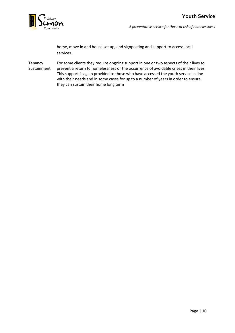

home, move in and house set up, and signposting and support to access local services.

Tenancy For some clients they require ongoing support in one or two aspects of their lives to Sustainment prevent a return to homelessness or the occurrence of avoidable crises in their lives. This support is again provided to those who have accessed the youth service in line with their needs and in some cases for up to a number of years in order to ensure they can sustain their home long term